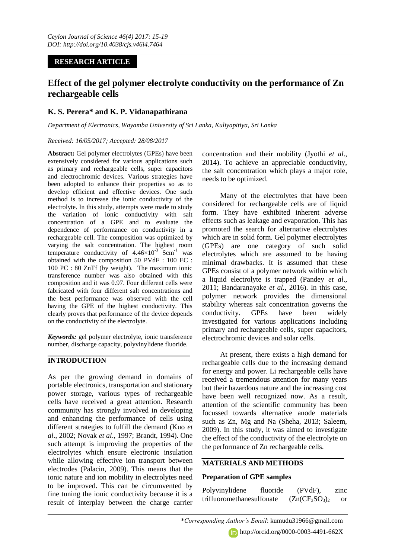# **RESEARCH ARTICLE**

# **Effect of the gel polymer electrolyte conductivity on the performance of Zn rechargeable cells**

# **K. S. Perera\* and K. P. Vidanapathirana**

*Department of Electronics, Wayamba University of Sri Lanka, Kuliyapitiya, Sri Lanka*

### *Received: 16/05/2017; Accepted: 28/08/2017*

**Abstract:** Gel polymer electrolytes (GPEs) have been extensively considered for various applications such as primary and rechargeable cells, super capacitors and electrochromic devices. Various strategies have been adopted to enhance their properties so as to develop efficient and effective devices. One such method is to increase the ionic conductivity of the electrolyte. In this study, attempts were made to study the variation of ionic conductivity with salt concentration of a GPE and to evaluate the dependence of performance on conductivity in a rechargeable cell. The composition was optimized by varying the salt concentration. The highest room temperature conductivity of  $4.46 \times 10^{-3}$  Scm<sup>-1</sup> was obtained with the composition 50 PVdF : 100 EC : 100 PC : 80 ZnTf (by weight). The maximum ionic transference number was also obtained with this composition and it was 0.97. Four different cells were fabricated with four different salt concentrations and the best performance was observed with the cell having the GPE of the highest conductivity. This clearly proves that performance of the device depends on the conductivity of the electrolyte.

*Keywords:* gel polymer electrolyte, ionic transference number, discharge capacity, polyvinylidene fluoride.

## **INTRODUCTION**

As per the growing demand in domains of portable electronics, transportation and stationary power storage, various types of rechargeable cells have received a great attention. Research community has strongly involved in developing and enhancing the performance of cells using different strategies to fulfill the demand (Kuo *et al*., 2002; Novak *et al*., 1997; Brandt, 1994). One such attempt is improving the properties of the electrolytes which ensure electronic insulation while allowing effective ion transport between electrodes (Palacin, 2009). This means that the ionic nature and ion mobility in electrolytes need to be improved. This can be circumvented by fine tuning the ionic conductivity because it is a result of interplay between the charge carrier

concentration and their mobility (Jyothi *et al*., 2014). To achieve an appreciable conductivity, the salt concentration which plays a major role, needs to be optimized.

Many of the electrolytes that have been considered for rechargeable cells are of liquid form. They have exhibited inherent adverse effects such as leakage and evaporation. This has promoted the search for alternative electrolytes which are in solid form. Gel polymer electrolytes (GPEs) are one category of such solid electrolytes which are assumed to be having minimal drawbacks. It is assumed that these GPEs consist of a polymer network within which a liquid electrolyte is trapped (Pandey *et al*., 2011; Bandaranayake *et al*., 2016). In this case, polymer network provides the dimensional stability whereas salt concentration governs the conductivity. GPEs have been widely investigated for various applications including primary and rechargeable cells, super capacitors, electrochromic devices and solar cells.

At present, there exists a high demand for rechargeable cells due to the increasing demand for energy and power. Li rechargeable cells have received a tremendous attention for many years but their hazardous nature and the increasing cost have been well recognized now. As a result, attention of the scientific community has been focussed towards alternative anode materials such as Zn, Mg and Na (Sheha, 2013; Saleem, 2009). In this study, it was aimed to investigate the effect of the conductivity of the electrolyte on the performance of Zn rechargeable cells.

# **MATERIALS AND METHODS**

## **Preparation of GPE samples**

Polyvinylidene fluoride (PVdF), zinc trifluoromethanesulfonate  $(Zn(CF_3SO_3)_2)$  or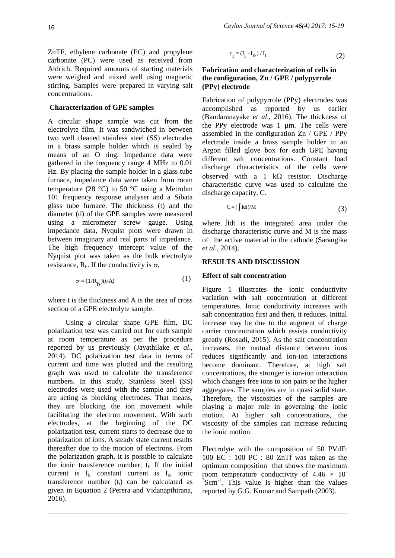ZnTF, ethylene carbonate (EC) and propylene carbonate (PC) were used as received from Aldrich. Required amounts of starting materials were weighed and mixed well using magnetic stirring. Samples were prepared in varying salt concentrations.

#### **Characterization of GPE samples**

A circular shape sample was cut from the electrolyte film. It was sandwiched in between two well cleaned stainless steel (SS) electrodes in a brass sample holder which is sealed by means of an O ring. Impedance data were gathered in the frequency range 4 MHz to 0.01 Hz. By placing the sample holder in a glass tube furnace, impedance data were taken from room temperature (28 °C) to 50 °C using a Metrohm 101 frequency response analyser and a Sibata glass tube furnace. The thickness (t) and the diameter (d) of the GPE samples were measured using a micrometer screw gauge. Using impedance data, Nyquist plots were drawn in between imaginary and real parts of impedance. The high frequency intercept value of the Nyquist plot was taken as the bulk electrolyte resistance,  $R_b$ . If the conductivity is  $\sigma$ ,

$$
\sigma = (1/R_b)(t/A)
$$
 (1)

where t is the thickness and A is the area of cross section of a GPE electrolyte sample.

Using a circular shape GPE film, DC polarization test was carried out for each sample at room temperature as per the procedure reported by us previously (Jayathilake *et al*., 2014). DC polarization test data in terms of current and time was plotted and the resulting graph was used to calculate the transference numbers. In this study, Stainless Steel (SS) electrodes were used with the sample and they are acting as blocking electrodes. That means, they are blocking the ion movement while facilitating the electron movement. With such electrodes, at the beginning of the DC polarization test, current starts to decrease due to polarization of ions. A steady state current results thereafter due to the motion of electrons. From the polarization graph, it is possible to calculate the ionic transference number,  $t_i$ . If the initial current is  $I_i$ , constant current is  $I_o$ , ionic transference number  $(t_i)$  can be calculated as given in Equation 2 (Perera and Vidanapthirana, 2016).

$$
t_i = (I_i - I_o) / I_i \tag{2}
$$

## **Fabrication and characterization of cells in the configuration, Zn / GPE / polypyrrole (PPy) electrode**

Fabrication of polypyrrole (PPy) electrodes was accomplished as reported by us earlier (Bandaranayake *et al*., 2016). The thickness of the PPy electrode was 1 µm. The cells were assembled in the configuration Zn / GPE / PPy electrode inside a brass sample holder in an Argon filled glove box for each GPE having different salt concentrations. Constant load discharge characteristics of the cells were observed with a 1 k $\Omega$  resistor. Discharge characteristic curve was used to calculate the discharge capacity, C.

$$
C = (\int I dt) / M \tag{3}
$$

where Idt is the integrated area under the discharge characteristic curve and M is the mass of the active material in the cathode (Sarangika *et al*., 2014).

#### **RESULTS AND DISCUSSION**

#### **Effect of salt concentration**

Figure 1 illustrates the ionic conductivity variation with salt concentration at different temperatures. Ionic conductivity increases with salt concentration first and then, it reduces. Initial increase may be due to the augment of charge carrier concentration which assists conductivity greatly (Rosadi, 2015). As the salt concentration increases, the mutual distance between ions reduces significantly and ion-ion interactions become dominant. Therefore, at high salt concentrations, the stronger is ion-ion interaction which changes free ions to ion pairs or the higher aggregates. The samples are in quasi solid state. Therefore, the viscosities of the samples are playing a major role in governing the ionic motion. At higher salt concentrations, the viscosity of the samples can increase reducing the ionic motion.

Electrolyte with the composition of 50 PVdF: 100 EC : 100 PC : 80 ZnTf was taken as the optimum composition that shows the maximum room temperature conductivity of  $4.46 \times 10^{-7}$ <sup>3</sup>Scm<sup>-1</sup>. This value is higher than the values reported by G.G. Kumar and Sampath (2003).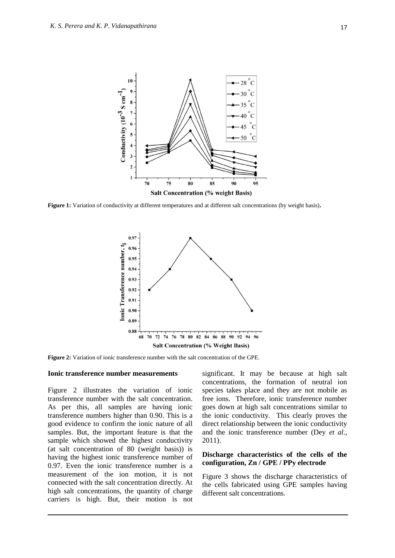

**Figure 1:** Variation of conductivity at different temperatures and at different salt concentrations (by weight basis)**.** 



**Figure 2:** Variation of ionic transference number with the salt concentration of the GPE.

#### **Ionic transference number measurements**

Figure 2 illustrates the variation of ionic transference number with the salt concentration. As per this, all samples are having ionic transference numbers higher than 0.90. This is a good evidence to confirm the ionic nature of all samples. But, the important feature is that the sample which showed the highest conductivity (at salt concentration of 80 (weight basis)) is having the highest ionic transference number of 0.97. Even the ionic transference number is a measurement of the ion motion, it is not connected with the salt concentration directly. At high salt concentrations, the quantity of charge carriers is high. But, their motion is not significant. It may be because at high salt concentrations, the formation of neutral ion species takes place and they are not mobile as free ions. Therefore, ionic transference number goes down at high salt concentrations similar to the ionic conductivity. This clearly proves the direct relationship between the ionic conductivity and the ionic transference number (Dey *et al*., 2011).

## **Discharge characteristics of the cells of the configuration, Zn / GPE / PPy electrode**

Figure 3 shows the discharge characteristics of the cells fabricated using GPE samples having different salt concentrations.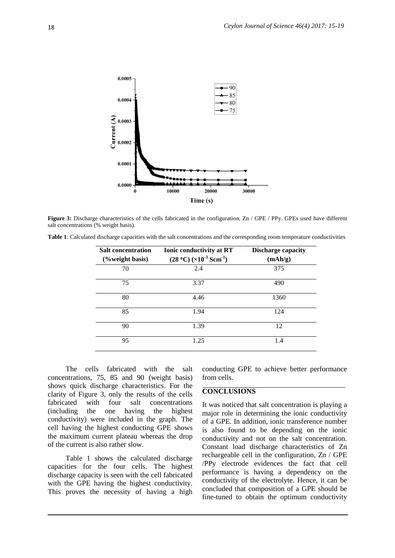

**Figure 3:** Discharge characteristics of the cells fabricated in the configuration, Zn / GPE / PPy. GPEs used have different salt concentrations (% weight basis).

| Table 1: Calculated discharge capacities with the salt concentrations and the corresponding room temperature conductivities |  |  |  |  |
|-----------------------------------------------------------------------------------------------------------------------------|--|--|--|--|
|-----------------------------------------------------------------------------------------------------------------------------|--|--|--|--|

| <b>Salt concentration</b><br>(%weight basis) | <b>Ionic conductivity at RT</b><br>$(28 °C)$ ( $\times$ 10 <sup>-3</sup> Scm <sup>-1</sup> ) | <b>Discharge capacity</b><br>(mAh/g) |
|----------------------------------------------|----------------------------------------------------------------------------------------------|--------------------------------------|
| 70                                           | 2.4                                                                                          | 375                                  |
| 75                                           | 3.37                                                                                         | 490                                  |
| 80                                           | 4.46                                                                                         | 1360                                 |
| 85                                           | 1.94                                                                                         | 124                                  |
| 90                                           | 1.39                                                                                         | 12                                   |
| 95                                           | 1.25                                                                                         | 1.4                                  |

The cells fabricated with the salt concentrations, 75, 85 and 90 (weight basis) shows quick discharge characteristics. For the clarity of Figure 3, only the results of the cells<br>fabricated with four salt concentrations fabricated with four salt concentrations (including the one having the highest conductivity) were included in the graph. The cell having the highest conducting GPE shows the maximum current plateau whereas the drop of the current is also rather slow.

Table 1 shows the calculated discharge capacities for the four cells. The highest discharge capacity is seen with the cell fabricated with the GPE having the highest conductivity. This proves the necessity of having a high

conducting GPE to achieve better performance from cells.

## **CONCLUSIONS**

It was noticed that salt concentration is playing a major role in determining the ionic conductivity of a GPE. In addition, ionic transference number is also found to be depending on the ionic conductivity and not on the salt concentration. Constant load discharge characteristics of Zn rechargeable cell in the configuration, Zn / GPE /PPy electrode evidences the fact that cell performance is having a dependency on the conductivity of the electrolyte. Hence, it can be concluded that composition of a GPE should be fine-tuned to obtain the optimum conductivity